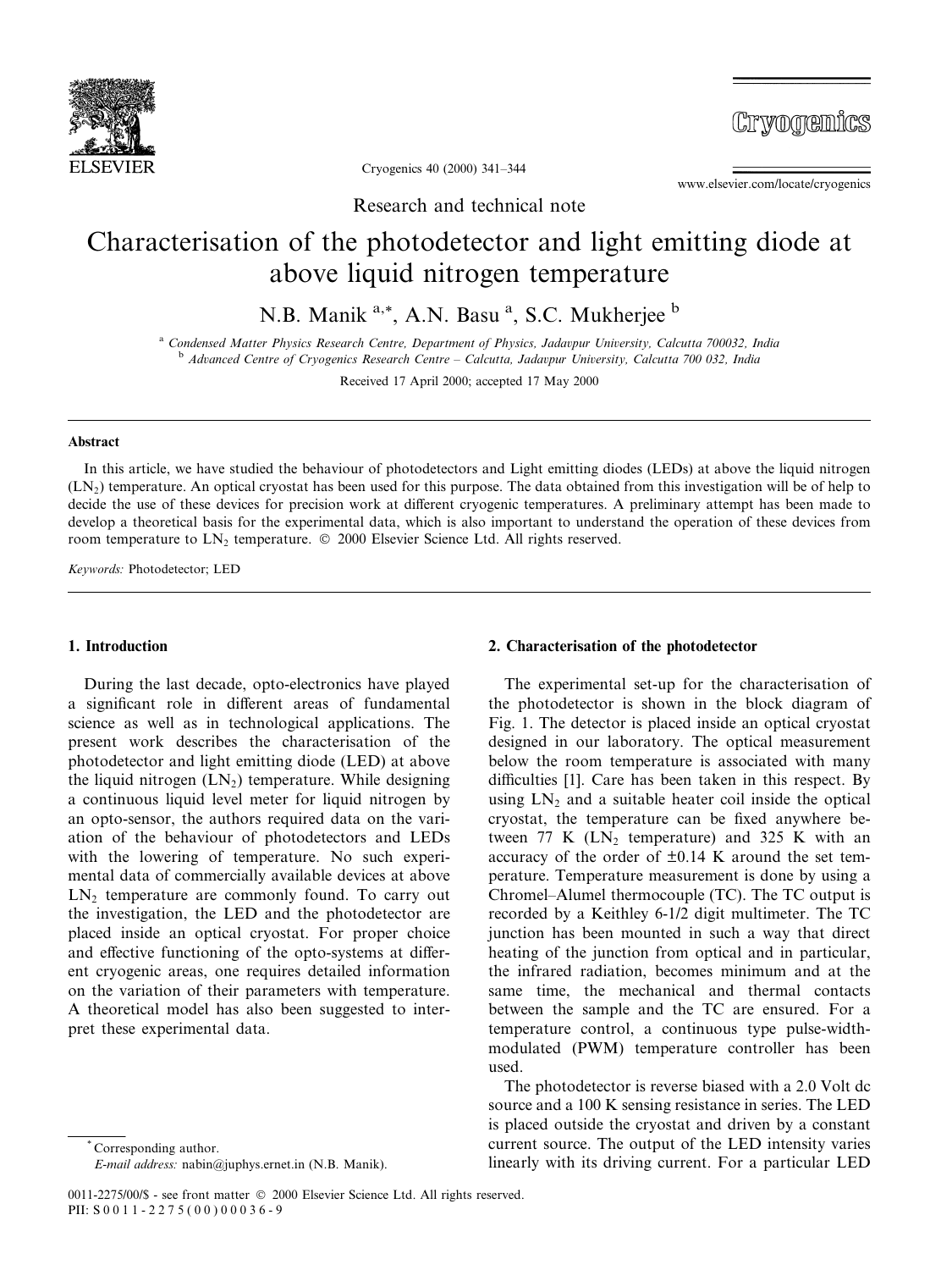

Cryonemics

Cryogenics 40 (2000) 341-344

www.elsevier.com/locate/cryogenics

Research and technical note

# Characterisation of the photodetector and light emitting diode at above liquid nitrogen temperature

N.B. Manik <sup>a,\*</sup>, A.N. Basu <sup>a</sup>, S.C. Mukherjee <sup>b</sup>

<sup>a</sup> Condensed Matter Physics Research Centre, Department of Physics, Jadavpur University, Calcutta 700032, India b Advanced Centre of Cryogenics Research Centre  $\sim$  Calcutta, Jadavpur University, Calcutta 700 032, India

Received 17 April 2000; accepted 17 May 2000

## Abstract

In this article, we have studied the behaviour of photodetectors and Light emitting diodes (LEDs) at above the liquid nitrogen (LN2) temperature. An optical cryostat has been used for this purpose. The data obtained from this investigation will be of help to decide the use of these devices for precision work at different cryogenic temperatures. A preliminary attempt has been made to develop a theoretical basis for the experimental data, which is also important to understand the operation of these devices from room temperature to LN<sub>2</sub> temperature. © 2000 Elsevier Science Ltd. All rights reserved.

Keywords: Photodetector; LED

## 1. Introduction

During the last decade, opto-electronics have played a significant role in different areas of fundamental science as well as in technological applications. The present work describes the characterisation of the photodetector and light emitting diode (LED) at above the liquid nitrogen  $(LN_2)$  temperature. While designing a continuous liquid level meter for liquid nitrogen by an opto-sensor, the authors required data on the variation of the behaviour of photodetectors and LEDs with the lowering of temperature. No such experimental data of commercially available devices at above  $LN<sub>2</sub>$  temperature are commonly found. To carry out the investigation, the LED and the photodetector are placed inside an optical cryostat. For proper choice and effective functioning of the opto-systems at different cryogenic areas, one requires detailed information on the variation of their parameters with temperature. A theoretical model has also been suggested to interpret these experimental data.

# 2. Characterisation of the photodetector

The experimental set-up for the characterisation of the photodetector is shown in the block diagram of Fig. 1. The detector is placed inside an optical cryostat designed in our laboratory. The optical measurement below the room temperature is associated with many difficulties  $[1]$ . Care has been taken in this respect. By using  $LN_2$  and a suitable heater coil inside the optical cryostat, the temperature can be fixed anywhere between 77 K  $(LN_2)$  temperature) and 325 K with an accuracy of the order of  $\pm 0.14$  K around the set temperature. Temperature measurement is done by using a Chromel±Alumel thermocouple (TC). The TC output is recorded by a Keithley 6-1/2 digit multimeter. The TC junction has been mounted in such a way that direct heating of the junction from optical and in particular, the infrared radiation, becomes minimum and at the same time, the mechanical and thermal contacts between the sample and the TC are ensured. For a temperature control, a continuous type pulse-widthmodulated (PWM) temperature controller has been used.

The photodetector is reverse biased with a 2.0 Volt dc source and a 100 K sensing resistance in series. The LED is placed outside the cryostat and driven by a constant current source. The output of the LED intensity varies linearly with its driving current. For a particular LED

Corresponding author.

E-mail address: nabin@juphys.ernet.in (N.B. Manik).

<sup>0011-2275/00/\$ -</sup> see front matter © 2000 Elsevier Science Ltd. All rights reserved. PII: S 0 0 1 1 - 2 2 7 5 ( 0 0 ) 0 0 036-9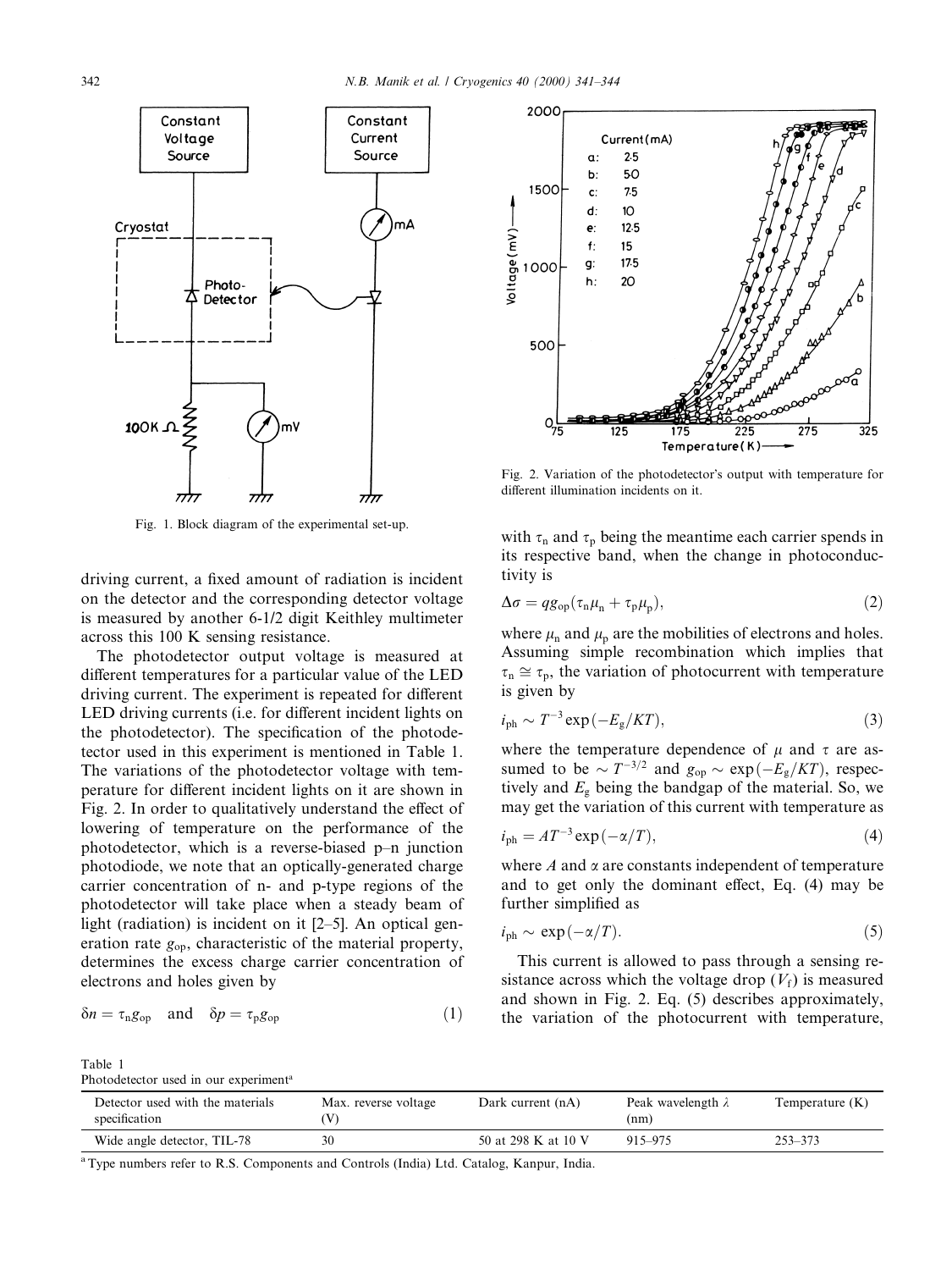

Fig. 1. Block diagram of the experimental set-up.

driving current, a fixed amount of radiation is incident on the detector and the corresponding detector voltage is measured by another 6-1/2 digit Keithley multimeter across this 100 K sensing resistance.

The photodetector output voltage is measured at different temperatures for a particular value of the LED driving current. The experiment is repeated for different LED driving currents (i.e. for different incident lights on the photodetector). The specification of the photodetector used in this experiment is mentioned in Table 1. The variations of the photodetector voltage with temperature for different incident lights on it are shown in Fig. 2. In order to qualitatively understand the effect of lowering of temperature on the performance of the photodetector, which is a reverse-biased  $p-n$  junction photodiode, we note that an optically-generated charge carrier concentration of n- and p-type regions of the photodetector will take place when a steady beam of light (radiation) is incident on it  $[2-5]$ . An optical generation rate  $g_{op}$ , characteristic of the material property, determines the excess charge carrier concentration of electrons and holes given by

$$
\delta n = \tau_{\text{n}} g_{\text{op}} \quad \text{and} \quad \delta p = \tau_{\text{p}} g_{\text{op}} \tag{1}
$$



Fig. 2. Variation of the photodetector's output with temperature for different illumination incidents on it.

with  $\tau_n$  and  $\tau_p$  being the meantime each carrier spends in its respective band, when the change in photoconductivity is

$$
\Delta \sigma = q g_{\rm op} (\tau_{\rm n} \mu_{\rm n} + \tau_{\rm p} \mu_{\rm p}), \qquad (2)
$$

where  $\mu_n$  and  $\mu_n$  are the mobilities of electrons and holes. Assuming simple recombination which implies that  $\tau_n \cong \tau_n$ , the variation of photocurrent with temperature is given by

$$
i_{\rm ph} \sim T^{-3} \exp\left(-E_{\rm g}/KT\right),\tag{3}
$$

where the temperature dependence of  $\mu$  and  $\tau$  are assumed to be  $\sim T^{-3/2}$  and  $g_{op} \sim \exp(-E_g/KT)$ , respectively and  $E_g$  being the bandgap of the material. So, we may get the variation of this current with temperature as

$$
i_{\rm ph} = A T^{-3} \exp\left(-\alpha/T\right),\tag{4}
$$

where  $A$  and  $\alpha$  are constants independent of temperature and to get only the dominant effect. Eq.  $(4)$  may be further simplified as

$$
i_{\rm ph} \sim \exp(-\alpha/T). \tag{5}
$$

This current is allowed to pass through a sensing resistance across which the voltage drop  $(V_f)$  is measured and shown in Fig. 2. Eq. (5) describes approximately, the variation of the photocurrent with temperature,

Table 1 Photodetector used in our experiment<sup>a</sup>

| Detector used with the materials<br>specification | Max. reverse voltage | Dark current (nA)   | Peak wavelength $\lambda$<br>(nm) | Temperature (K) |
|---------------------------------------------------|----------------------|---------------------|-----------------------------------|-----------------|
| Wide angle detector, TIL-78                       |                      | 50 at 298 K at 10 V | 915-975                           | $253 - 373$     |

<sup>a</sup>Type numbers refer to R.S. Components and Controls (India) Ltd. Catalog, Kanpur, India.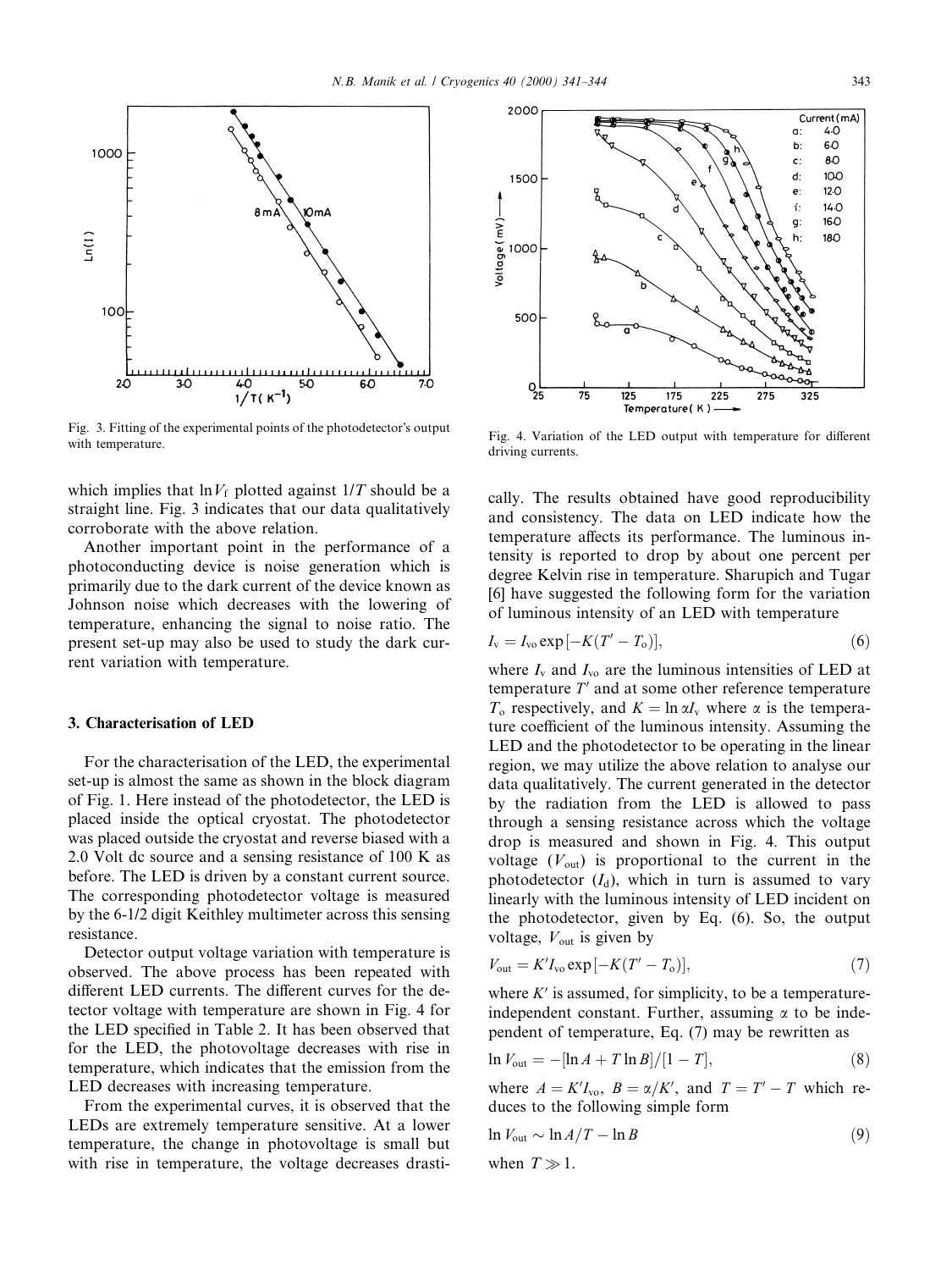

Fig. 3. Fitting of the experimental points of the photodetector's output Fig. 5. Fitting of the experimental points of the photodetector soutput<br>with temperature for different<br>i...

which implies that  $\ln V_f$  plotted against  $1/T$  should be a straight line. Fig. 3 indicates that our data qualitatively corroborate with the above relation.

Another important point in the performance of a photoconducting device is noise generation which is primarily due to the dark current of the device known as Johnson noise which decreases with the lowering of temperature, enhancing the signal to noise ratio. The present set-up may also be used to study the dark current variation with temperature.

### 3. Characterisation of LED

For the characterisation of the LED, the experimental set-up is almost the same as shown in the block diagram of Fig. 1. Here instead of the photodetector, the LED is placed inside the optical cryostat. The photodetector was placed outside the cryostat and reverse biased with a 2.0 Volt dc source and a sensing resistance of 100 K as before. The LED is driven by a constant current source. The corresponding photodetector voltage is measured by the 6-1/2 digit Keithley multimeter across this sensing resistance.

Detector output voltage variation with temperature is observed. The above process has been repeated with different LED currents. The different curves for the detector voltage with temperature are shown in Fig. 4 for the LED specified in Table 2. It has been observed that for the LED, the photovoltage decreases with rise in temperature, which indicates that the emission from the LED decreases with increasing temperature.

From the experimental curves, it is observed that the LEDs are extremely temperature sensitive. At a lower temperature, the change in photovoltage is small but with rise in temperature, the voltage decreases drasti-



driving currents.

cally. The results obtained have good reproducibility and consistency. The data on LED indicate how the temperature affects its performance. The luminous intensity is reported to drop by about one percent per degree Kelvin rise in temperature. Sharupich and Tugar [6] have suggested the following form for the variation of luminous intensity of an LED with temperature

$$
I_{v} = I_{vo} \exp[-K(T' - T_{o})], \tag{6}
$$

where  $I_v$  and  $I_{vo}$  are the luminous intensities of LED at temperature  $T'$  and at some other reference temperature  $T_0$  respectively, and  $K = \ln \alpha I_v$  where  $\alpha$  is the temperature coefficient of the luminous intensity. Assuming the LED and the photodetector to be operating in the linear region, we may utilize the above relation to analyse our data qualitatively. The current generated in the detector by the radiation from the LED is allowed to pass through a sensing resistance across which the voltage drop is measured and shown in Fig. 4. This output voltage  $(V_{\text{out}})$  is proportional to the current in the photodetector  $(I_d)$ , which in turn is assumed to vary linearly with the luminous intensity of LED incident on the photodetector, given by Eq. (6). So, the output voltage,  $V_{\text{out}}$  is given by

$$
V_{\text{out}} = K' I_{\text{vo}} \exp[-K(T' - T_{\text{o}})],\tag{7}
$$

where  $K'$  is assumed, for simplicity, to be a temperatureindependent constant. Further, assuming  $\alpha$  to be independent of temperature, Eq. (7) may be rewritten as

$$
\ln V_{\text{out}} = -[\ln A + T \ln B]/[1 - T],\tag{8}
$$

where  $A = K'I<sub>vo</sub>$ ,  $B = \alpha/K'$ , and  $T = T' - T$  which reduces to the following simple form

$$
\ln V_{\text{out}} \sim \ln A/T - \ln B \tag{9}
$$

when  $T \gg 1$ .